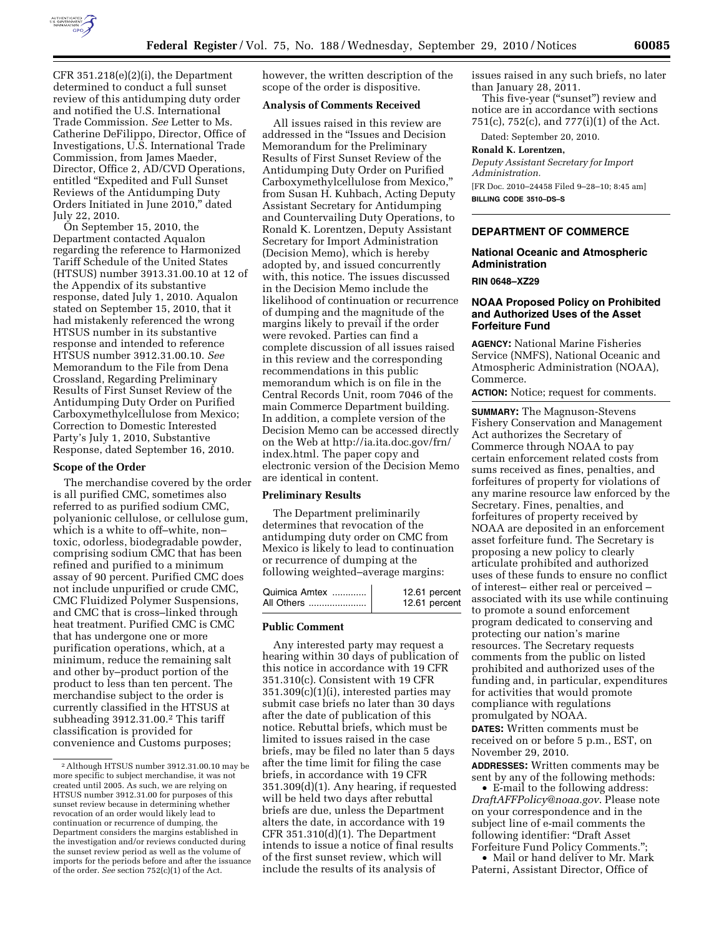

CFR 351.218(e)(2)(i), the Department determined to conduct a full sunset review of this antidumping duty order and notified the U.S. International Trade Commission. *See* Letter to Ms. Catherine DeFilippo, Director, Office of Investigations, U.S. International Trade Commission, from James Maeder, Director, Office 2, AD/CVD Operations, entitled ''Expedited and Full Sunset Reviews of the Antidumping Duty Orders Initiated in June 2010,'' dated July 22, 2010.

On September 15, 2010, the Department contacted Aqualon regarding the reference to Harmonized Tariff Schedule of the United States (HTSUS) number 3913.31.00.10 at 12 of the Appendix of its substantive response, dated July 1, 2010. Aqualon stated on September 15, 2010, that it had mistakenly referenced the wrong HTSUS number in its substantive response and intended to reference HTSUS number 3912.31.00.10. *See*  Memorandum to the File from Dena Crossland, Regarding Preliminary Results of First Sunset Review of the Antidumping Duty Order on Purified Carboxymethylcellulose from Mexico; Correction to Domestic Interested Party's July 1, 2010, Substantive Response, dated September 16, 2010.

#### **Scope of the Order**

The merchandise covered by the order is all purified CMC, sometimes also referred to as purified sodium CMC, polyanionic cellulose, or cellulose gum, which is a white to off–white, non– toxic, odorless, biodegradable powder, comprising sodium CMC that has been refined and purified to a minimum assay of 90 percent. Purified CMC does not include unpurified or crude CMC, CMC Fluidized Polymer Suspensions, and CMC that is cross–linked through heat treatment. Purified CMC is CMC that has undergone one or more purification operations, which, at a minimum, reduce the remaining salt and other by–product portion of the product to less than ten percent. The merchandise subject to the order is currently classified in the HTSUS at subheading 3912.31.00.<sup>2</sup> This tariff classification is provided for convenience and Customs purposes;

however, the written description of the scope of the order is dispositive.

## **Analysis of Comments Received**

All issues raised in this review are addressed in the ''Issues and Decision Memorandum for the Preliminary Results of First Sunset Review of the Antidumping Duty Order on Purified Carboxymethylcellulose from Mexico,'' from Susan H. Kuhbach, Acting Deputy Assistant Secretary for Antidumping and Countervailing Duty Operations, to Ronald K. Lorentzen, Deputy Assistant Secretary for Import Administration (Decision Memo), which is hereby adopted by, and issued concurrently with, this notice. The issues discussed in the Decision Memo include the likelihood of continuation or recurrence of dumping and the magnitude of the margins likely to prevail if the order were revoked. Parties can find a complete discussion of all issues raised in this review and the corresponding recommendations in this public memorandum which is on file in the Central Records Unit, room 7046 of the main Commerce Department building. In addition, a complete version of the Decision Memo can be accessed directly on the Web at [http://i](http)a.ita.doc.gov/frn/ index.html. The paper copy and electronic version of the Decision Memo are identical in content.

### **Preliminary Results**

The Department preliminarily determines that revocation of the antidumping duty order on CMC from Mexico is likely to lead to continuation or recurrence of dumping at the following weighted–average margins:

| Quimica Amtex | 12.61 percent |
|---------------|---------------|
|               | 12.61 percent |

### **Public Comment**

Any interested party may request a hearing within 30 days of publication of this notice in accordance with 19 CFR 351.310(c). Consistent with 19 CFR 351.309(c)(1)(i), interested parties may submit case briefs no later than 30 days after the date of publication of this notice. Rebuttal briefs, which must be limited to issues raised in the case briefs, may be filed no later than 5 days after the time limit for filing the case briefs, in accordance with 19 CFR 351.309(d)(1). Any hearing, if requested will be held two days after rebuttal briefs are due, unless the Department alters the date, in accordance with 19 CFR 351.310(d)(1). The Department intends to issue a notice of final results of the first sunset review, which will include the results of its analysis of

issues raised in any such briefs, no later than January 28, 2011.

This five-year ("sunset") review and notice are in accordance with sections 751(c), 752(c), and 777(i)(1) of the Act.

Dated: September 20, 2010.

**Ronald K. Lorentzen,** 

*Deputy Assistant Secretary for Import Administration.*  [FR Doc. 2010–24458 Filed 9–28–10; 8:45 am] **BILLING CODE 3510–DS–S** 

## **DEPARTMENT OF COMMERCE**

#### **National Oceanic and Atmospheric Administration**

# **RIN 0648–XZ29**

# **NOAA Proposed Policy on Prohibited and Authorized Uses of the Asset Forfeiture Fund**

**AGENCY:** National Marine Fisheries Service (NMFS), National Oceanic and Atmospheric Administration (NOAA), Commerce.

**ACTION:** Notice; request for comments.

**SUMMARY:** The Magnuson-Stevens Fishery Conservation and Management Act authorizes the Secretary of Commerce through NOAA to pay certain enforcement related costs from sums received as fines, penalties, and forfeitures of property for violations of any marine resource law enforced by the Secretary. Fines, penalties, and forfeitures of property received by NOAA are deposited in an enforcement asset forfeiture fund. The Secretary is proposing a new policy to clearly articulate prohibited and authorized uses of these funds to ensure no conflict of interest– either real or perceived – associated with its use while continuing to promote a sound enforcement program dedicated to conserving and protecting our nation's marine resources. The Secretary requests comments from the public on listed prohibited and authorized uses of the funding and, in particular, expenditures for activities that would promote compliance with regulations promulgated by NOAA.

**DATES:** Written comments must be received on or before 5 p.m., EST, on November 29, 2010.

**ADDRESSES:** Written comments may be sent by any of the following methods:

• E-mail to the following address: *[DraftAFFPolicy@noaa.gov](mailto:DraftAFFPolicy@noaa.gov)*. Please note on your correspondence and in the subject line of e-mail comments the following identifier: ''Draft Asset Forfeiture Fund Policy Comments.'';

• Mail or hand deliver to Mr. Mark Paterni, Assistant Director, Office of

<sup>2</sup>Although HTSUS number 3912.31.00.10 may be more specific to subject merchandise, it was not created until 2005. As such, we are relying on HTSUS number 3912.31.00 for purposes of this sunset review because in determining whether revocation of an order would likely lead to continuation or recurrence of dumping, the Department considers the margins established in the investigation and/or reviews conducted during the sunset review period as well as the volume of imports for the periods before and after the issuance of the order. *See* section 752(c)(1) of the Act.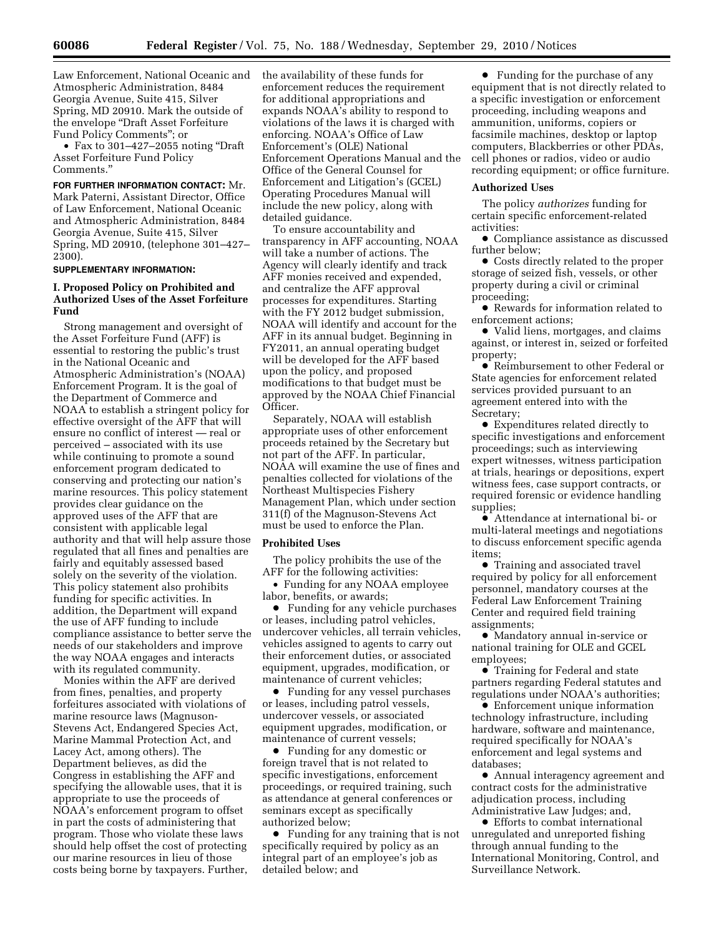Law Enforcement, National Oceanic and Atmospheric Administration, 8484 Georgia Avenue, Suite 415, Silver Spring, MD 20910. Mark the outside of the envelope ''Draft Asset Forfeiture Fund Policy Comments''; or

• Fax to 301–427–2055 noting "Draft" Asset Forfeiture Fund Policy Comments.''

**FOR FURTHER INFORMATION CONTACT:** Mr. Mark Paterni, Assistant Director, Office of Law Enforcement, National Oceanic and Atmospheric Administration, 8484

Georgia Avenue, Suite 415, Silver Spring, MD 20910, (telephone 301–427– 2300).

# **SUPPLEMENTARY INFORMATION:**

# **I. Proposed Policy on Prohibited and Authorized Uses of the Asset Forfeiture Fund**

Strong management and oversight of the Asset Forfeiture Fund (AFF) is essential to restoring the public's trust in the National Oceanic and Atmospheric Administration's (NOAA) Enforcement Program. It is the goal of the Department of Commerce and NOAA to establish a stringent policy for effective oversight of the AFF that will ensure no conflict of interest — real or perceived – associated with its use while continuing to promote a sound enforcement program dedicated to conserving and protecting our nation's marine resources. This policy statement provides clear guidance on the approved uses of the AFF that are consistent with applicable legal authority and that will help assure those regulated that all fines and penalties are fairly and equitably assessed based solely on the severity of the violation. This policy statement also prohibits funding for specific activities. In addition, the Department will expand the use of AFF funding to include compliance assistance to better serve the needs of our stakeholders and improve the way NOAA engages and interacts with its regulated community.

Monies within the AFF are derived from fines, penalties, and property forfeitures associated with violations of marine resource laws (Magnuson-Stevens Act, Endangered Species Act, Marine Mammal Protection Act, and Lacey Act, among others). The Department believes, as did the Congress in establishing the AFF and specifying the allowable uses, that it is appropriate to use the proceeds of NOAA's enforcement program to offset in part the costs of administering that program. Those who violate these laws should help offset the cost of protecting our marine resources in lieu of those costs being borne by taxpayers. Further, the availability of these funds for enforcement reduces the requirement for additional appropriations and expands NOAA's ability to respond to violations of the laws it is charged with enforcing. NOAA's Office of Law Enforcement's (OLE) National Enforcement Operations Manual and the Office of the General Counsel for Enforcement and Litigation's (GCEL) Operating Procedures Manual will include the new policy, along with detailed guidance.

To ensure accountability and transparency in AFF accounting, NOAA will take a number of actions. The Agency will clearly identify and track AFF monies received and expended, and centralize the AFF approval processes for expenditures. Starting with the FY 2012 budget submission, NOAA will identify and account for the AFF in its annual budget. Beginning in FY2011, an annual operating budget will be developed for the AFF based upon the policy, and proposed modifications to that budget must be approved by the NOAA Chief Financial Officer.

Separately, NOAA will establish appropriate uses of other enforcement proceeds retained by the Secretary but not part of the AFF. In particular, NOAA will examine the use of fines and penalties collected for violations of the Northeast Multispecies Fishery Management Plan, which under section 311(f) of the Magnuson-Stevens Act must be used to enforce the Plan.

## **Prohibited Uses**

The policy prohibits the use of the AFF for the following activities:

• Funding for any NOAA employee labor, benefits, or awards;

● Funding for any vehicle purchases or leases, including patrol vehicles, undercover vehicles, all terrain vehicles, vehicles assigned to agents to carry out their enforcement duties, or associated equipment, upgrades, modification, or maintenance of current vehicles;

∑ Funding for any vessel purchases or leases, including patrol vessels, undercover vessels, or associated equipment upgrades, modification, or maintenance of current vessels;

∑ Funding for any domestic or foreign travel that is not related to specific investigations, enforcement proceedings, or required training, such as attendance at general conferences or seminars except as specifically authorized below;

∑ Funding for any training that is not specifically required by policy as an integral part of an employee's job as detailed below; and

● Funding for the purchase of any equipment that is not directly related to a specific investigation or enforcement proceeding, including weapons and ammunition, uniforms, copiers or facsimile machines, desktop or laptop computers, Blackberries or other PDAs, cell phones or radios, video or audio recording equipment; or office furniture.

#### **Authorized Uses**

The policy *authorizes* funding for certain specific enforcement-related activities:

● Compliance assistance as discussed further below;

● Costs directly related to the proper storage of seized fish, vessels, or other property during a civil or criminal proceeding;

● Rewards for information related to enforcement actions;

∑ Valid liens, mortgages, and claims against, or interest in, seized or forfeited property;

∑ Reimbursement to other Federal or State agencies for enforcement related services provided pursuant to an agreement entered into with the Secretary;

∑ Expenditures related directly to specific investigations and enforcement proceedings; such as interviewing expert witnesses, witness participation at trials, hearings or depositions, expert witness fees, case support contracts, or required forensic or evidence handling supplies;

∑ Attendance at international bi- or multi-lateral meetings and negotiations to discuss enforcement specific agenda items;

● Training and associated travel required by policy for all enforcement personnel, mandatory courses at the Federal Law Enforcement Training Center and required field training assignments;

∑ Mandatory annual in-service or national training for OLE and GCEL employees;

∑ Training for Federal and state partners regarding Federal statutes and regulations under NOAA's authorities;

∑ Enforcement unique information technology infrastructure, including hardware, software and maintenance, required specifically for NOAA's enforcement and legal systems and databases;

● Annual interagency agreement and contract costs for the administrative adjudication process, including Administrative Law Judges; and,

● Efforts to combat international unregulated and unreported fishing through annual funding to the International Monitoring, Control, and Surveillance Network.